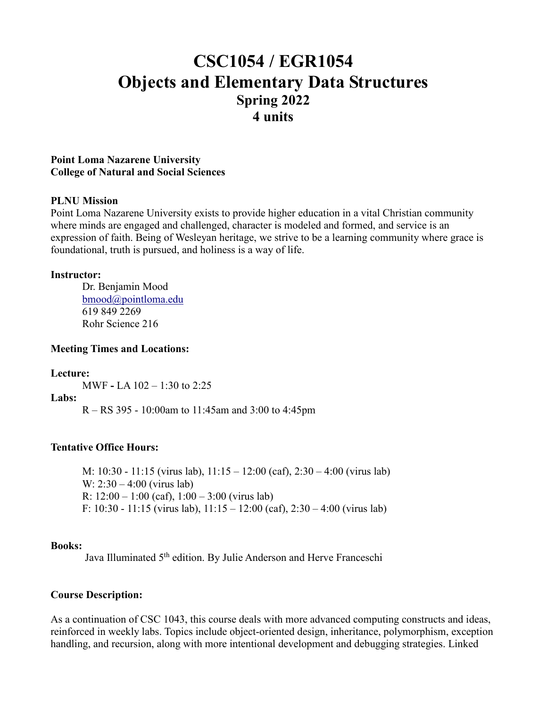# **CSC1054 / EGR1054 Objects and Elementary Data Structures Spring 2022 4 units**

#### **Point Loma Nazarene University College of Natural and Social Sciences**

#### **PLNU Mission**

Point Loma Nazarene University exists to provide higher education in a vital Christian community where minds are engaged and challenged, character is modeled and formed, and service is an expression of faith. Being of Wesleyan heritage, we strive to be a learning community where grace is foundational, truth is pursued, and holiness is a way of life.

#### **Instructor:**

Dr. Benjamin Mood [bmood@pointloma.edu](mailto:bmood@pointloma.edu) 619 849 2269 Rohr Science 216

#### **Meeting Times and Locations:**

#### **Lecture:**

MWF **-** LA 102 – 1:30 to 2:25

#### **Labs:**

R – RS 395 - 10:00am to 11:45am and 3:00 to 4:45pm

#### **Tentative Office Hours:**

M: 10:30 - 11:15 (virus lab), 11:15 – 12:00 (caf), 2:30 – 4:00 (virus lab) W:  $2:30 - 4:00$  (virus lab) R:  $12:00 - 1:00$  (caf),  $1:00 - 3:00$  (virus lab) F:  $10:30 - 11:15$  (virus lab),  $11:15 - 12:00$  (caf),  $2:30 - 4:00$  (virus lab)

#### **Books:**

Java Illuminated 5<sup>th</sup> edition. By Julie Anderson and Herve Franceschi

#### **Course Description:**

As a continuation of CSC 1043, this course deals with more advanced computing constructs and ideas, reinforced in weekly labs. Topics include object-oriented design, inheritance, polymorphism, exception handling, and recursion, along with more intentional development and debugging strategies. Linked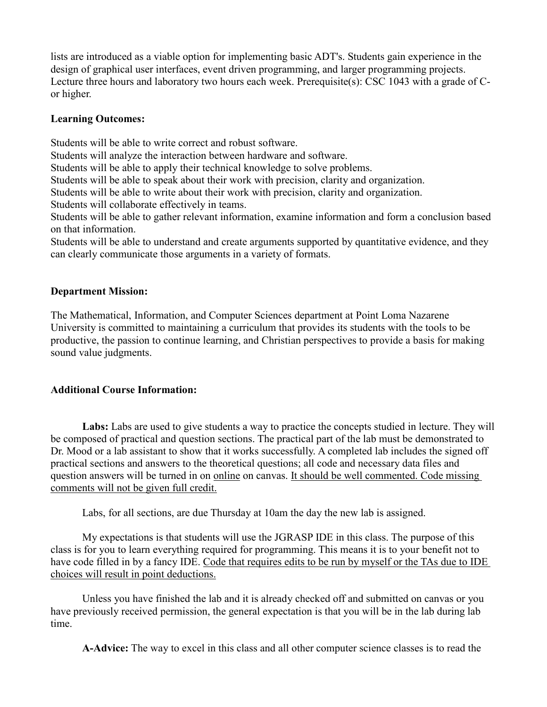lists are introduced as a viable option for implementing basic ADT's. Students gain experience in the design of graphical user interfaces, event driven programming, and larger programming projects. Lecture three hours and laboratory two hours each week. Prerequisite(s): CSC 1043 with a grade of Cor higher.

#### **Learning Outcomes:**

Students will be able to write correct and robust software.

Students will analyze the interaction between hardware and software.

Students will be able to apply their technical knowledge to solve problems.

Students will be able to speak about their work with precision, clarity and organization.

Students will be able to write about their work with precision, clarity and organization.

Students will collaborate effectively in teams.

Students will be able to gather relevant information, examine information and form a conclusion based on that information.

Students will be able to understand and create arguments supported by quantitative evidence, and they can clearly communicate those arguments in a variety of formats.

### **Department Mission:**

The Mathematical, Information, and Computer Sciences department at Point Loma Nazarene University is committed to maintaining a curriculum that provides its students with the tools to be productive, the passion to continue learning, and Christian perspectives to provide a basis for making sound value judgments.

## **Additional Course Information:**

**Labs:** Labs are used to give students a way to practice the concepts studied in lecture. They will be composed of practical and question sections. The practical part of the lab must be demonstrated to Dr. Mood or a lab assistant to show that it works successfully. A completed lab includes the signed off practical sections and answers to the theoretical questions; all code and necessary data files and question answers will be turned in on online on canvas. It should be well commented. Code missing comments will not be given full credit.

Labs, for all sections, are due Thursday at 10am the day the new lab is assigned.

My expectations is that students will use the JGRASP IDE in this class. The purpose of this class is for you to learn everything required for programming. This means it is to your benefit not to have code filled in by a fancy IDE. Code that requires edits to be run by myself or the TAs due to IDE choices will result in point deductions.

Unless you have finished the lab and it is already checked off and submitted on canvas or you have previously received permission, the general expectation is that you will be in the lab during lab time.

**A-Advice:** The way to excel in this class and all other computer science classes is to read the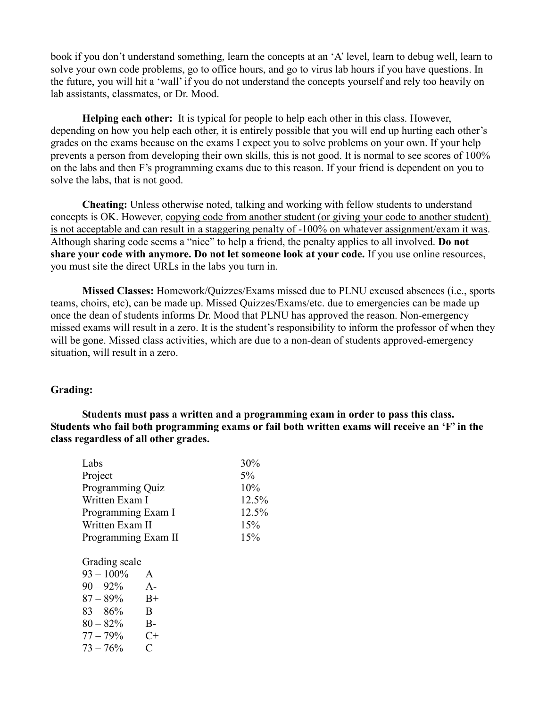book if you don't understand something, learn the concepts at an 'A' level, learn to debug well, learn to solve your own code problems, go to office hours, and go to virus lab hours if you have questions. In the future, you will hit a 'wall' if you do not understand the concepts yourself and rely too heavily on lab assistants, classmates, or Dr. Mood.

**Helping each other:** It is typical for people to help each other in this class. However, depending on how you help each other, it is entirely possible that you will end up hurting each other's grades on the exams because on the exams I expect you to solve problems on your own. If your help prevents a person from developing their own skills, this is not good. It is normal to see scores of 100% on the labs and then F's programming exams due to this reason. If your friend is dependent on you to solve the labs, that is not good.

**Cheating:** Unless otherwise noted, talking and working with fellow students to understand concepts is OK. However, copying code from another student (or giving your code to another student) is not acceptable and can result in a staggering penalty of -100% on whatever assignment/exam it was. Although sharing code seems a "nice" to help a friend, the penalty applies to all involved. **Do not share your code with anymore. Do not let someone look at your code.** If you use online resources, you must site the direct URLs in the labs you turn in.

**Missed Classes:** Homework/Quizzes/Exams missed due to PLNU excused absences (i.e., sports teams, choirs, etc), can be made up. Missed Quizzes/Exams/etc. due to emergencies can be made up once the dean of students informs Dr. Mood that PLNU has approved the reason. Non-emergency missed exams will result in a zero. It is the student's responsibility to inform the professor of when they will be gone. Missed class activities, which are due to a non-dean of students approved-emergency situation, will result in a zero.

#### **Grading:**

**Students must pass a written and a programming exam in order to pass this class. Students who fail both programming exams or fail both written exams will receive an 'F' in the class regardless of all other grades.**

| Labs<br>30%                |       |
|----------------------------|-------|
| Project<br>5%              |       |
| Programming Quiz<br>10%    |       |
| Written Exam I             | 12.5% |
| Programming Exam I         | 12.5% |
| Written Exam II<br>15%     |       |
| Programming Exam II<br>15% |       |

Grading scale

| $93 - 100\%$ | A       |
|--------------|---------|
| $90 - 92\%$  | $A-$    |
| $87 - 89\%$  | $B+$    |
| $83 - 86\%$  | B       |
| $80 - 82%$   | B-      |
| $77 - 79%$   | C+      |
| $73 - 76%$   | $\rm C$ |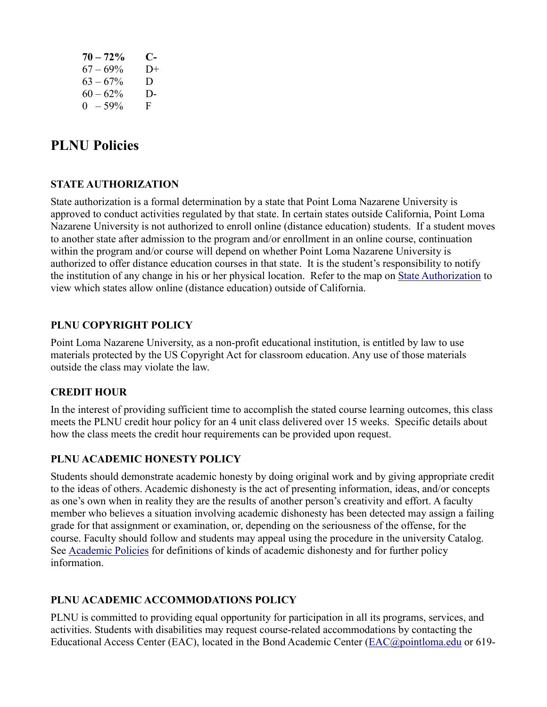| $70 - 72\%$ | C-     |
|-------------|--------|
| $67 - 69\%$ | $1) +$ |
| $63 - 67\%$ | D.     |
| $60 - 62\%$ | D-     |
| $0 - 59\%$  | F      |

## **PLNU Policies**

## **STATE AUTHORIZATION**

State authorization is a formal determination by a state that Point Loma Nazarene University is approved to conduct activities regulated by that state. In certain states outside California, Point Loma Nazarene University is not authorized to enroll online (distance education) students. If a student moves to another state after admission to the program and/or enrollment in an online course, continuation within the program and/or course will depend on whether Point Loma Nazarene University is authorized to offer distance education courses in that state. It is the student's responsibility to notify the institution of any change in his or her physical location. Refer to the map on [State Authorization](https://www.pointloma.edu/offices/office-institutional-effectiveness-research/disclosures) to view which states allow online (distance education) outside of California.

## **PLNU COPYRIGHT POLICY**

Point Loma Nazarene University, as a non-profit educational institution, is entitled by law to use materials protected by the US Copyright Act for classroom education. Any use of those materials outside the class may violate the law.

#### **CREDIT HOUR**

In the interest of providing sufficient time to accomplish the stated course learning outcomes, this class meets the PLNU credit hour policy for an 4 unit class delivered over 15 weeks. Specific details about how the class meets the credit hour requirements can be provided upon request.

#### **PLNU ACADEMIC HONESTY POLICY**

Students should demonstrate academic honesty by doing original work and by giving appropriate credit to the ideas of others. Academic dishonesty is the act of presenting information, ideas, and/or concepts as one's own when in reality they are the results of another person's creativity and effort. A faculty member who believes a situation involving academic dishonesty has been detected may assign a failing grade for that assignment or examination, or, depending on the seriousness of the offense, for the course. Faculty should follow and students may appeal using the procedure in the university Catalog. See [Academic Policies](https://catalog.pointloma.edu/content.php?catoid=52&navoid=2919#Academic_Honesty) for definitions of kinds of academic dishonesty and for further policy information.

## **PLNU ACADEMIC ACCOMMODATIONS POLICY**

PLNU is committed to providing equal opportunity for participation in all its programs, services, and activities. Students with disabilities may request course-related accommodations by contacting the Educational Access Center (EAC), located in the Bond Academic Center [\(EAC@pointloma.edu](mailto:EAC@pointloma.edu) or 619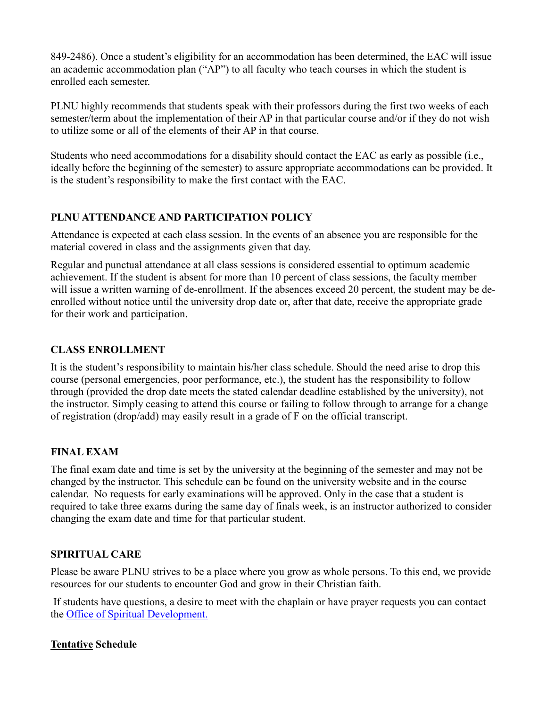849-2486). Once a student's eligibility for an accommodation has been determined, the EAC will issue an academic accommodation plan ("AP") to all faculty who teach courses in which the student is enrolled each semester.

PLNU highly recommends that students speak with their professors during the first two weeks of each semester/term about the implementation of their AP in that particular course and/or if they do not wish to utilize some or all of the elements of their AP in that course.

Students who need accommodations for a disability should contact the EAC as early as possible (i.e., ideally before the beginning of the semester) to assure appropriate accommodations can be provided. It is the student's responsibility to make the first contact with the EAC.

## **PLNU ATTENDANCE AND PARTICIPATION POLICY**

Attendance is expected at each class session. In the events of an absence you are responsible for the material covered in class and the assignments given that day.

Regular and punctual attendance at all class sessions is considered essential to optimum academic achievement. If the student is absent for more than 10 percent of class sessions, the faculty member will issue a written warning of de-enrollment. If the absences exceed 20 percent, the student may be deenrolled without notice until the university drop date or, after that date, receive the appropriate grade for their work and participation.

## **CLASS ENROLLMENT**

It is the student's responsibility to maintain his/her class schedule. Should the need arise to drop this course (personal emergencies, poor performance, etc.), the student has the responsibility to follow through (provided the drop date meets the stated calendar deadline established by the university), not the instructor. Simply ceasing to attend this course or failing to follow through to arrange for a change of registration (drop/add) may easily result in a grade of F on the official transcript.

## **FINAL EXAM**

The final exam date and time is set by the university at the beginning of the semester and may not be changed by the instructor. This schedule can be found on the university website and in the course calendar. No requests for early examinations will be approved. Only in the case that a student is required to take three exams during the same day of finals week, is an instructor authorized to consider changing the exam date and time for that particular student.

## **SPIRITUAL CARE**

Please be aware PLNU strives to be a place where you grow as whole persons. To this end, we provide resources for our students to encounter God and grow in their Christian faith.

If students have questions, a desire to meet with the chaplain or have prayer requests you can contact the Office of Spiritual Development.

## **Tentative Schedule**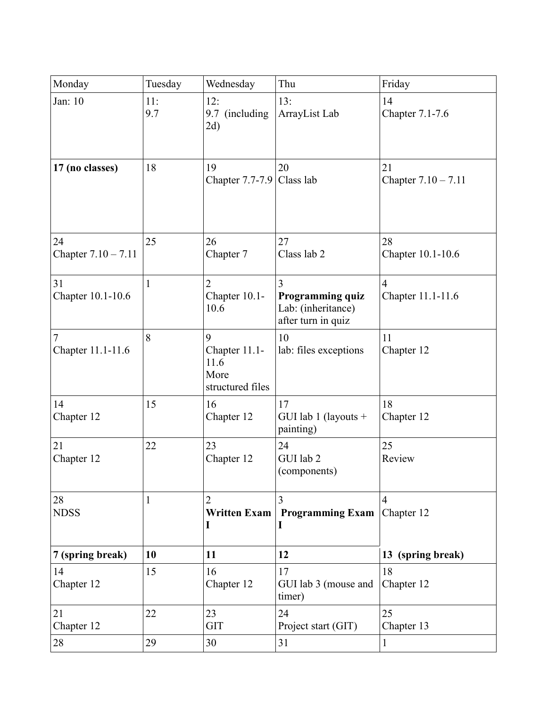| Monday                      | Tuesday      | Wednesday                                              | Thu                                                               | Friday                              |
|-----------------------------|--------------|--------------------------------------------------------|-------------------------------------------------------------------|-------------------------------------|
| Jan: 10                     | 11:<br>9.7   | 12:<br>9.7 (including<br>2d)                           | 13:<br>ArrayList Lab                                              | 14<br>Chapter 7.1-7.6               |
| 17 (no classes)             | 18           | 19<br>Chapter 7.7-7.9 Class lab                        | 20                                                                | 21<br>Chapter $7.10 - 7.11$         |
| 24<br>Chapter $7.10 - 7.11$ | 25           | 26<br>Chapter 7                                        | 27<br>Class lab 2                                                 | 28<br>Chapter 10.1-10.6             |
| 31<br>Chapter 10.1-10.6     | $\mathbf{1}$ | $\overline{2}$<br>Chapter 10.1-<br>10.6                | 3<br>Programming quiz<br>Lab: (inheritance)<br>after turn in quiz | $\overline{4}$<br>Chapter 11.1-11.6 |
| 7<br>Chapter 11.1-11.6      | 8            | 9<br>Chapter 11.1-<br>11.6<br>More<br>structured files | 10<br>lab: files exceptions                                       | 11<br>Chapter 12                    |
| 14<br>Chapter 12            | 15           | 16<br>Chapter 12                                       | 17<br>GUI lab 1 (layouts $+$<br>painting)                         | 18<br>Chapter 12                    |
| 21<br>Chapter 12            | 22           | 23<br>Chapter 12                                       | 24<br>GUI lab 2<br>(components)                                   | 25<br>Review                        |
| 28<br><b>NDSS</b>           | 1            | 2<br>I                                                 | Written Exam   Programming Exam                                   | $\overline{4}$<br>Chapter 12        |
| 7 (spring break)            | 10           | 11                                                     | 12                                                                | 13 (spring break)                   |
| 14<br>Chapter 12            | 15           | 16<br>Chapter 12                                       | 17<br>GUI lab 3 (mouse and<br>timer)                              | 18<br>Chapter 12                    |
| 21<br>Chapter 12            | 22           | 23<br><b>GIT</b>                                       | 24<br>Project start (GIT)                                         | 25<br>Chapter 13                    |
| 28                          | 29           | 30                                                     | 31                                                                | 1                                   |